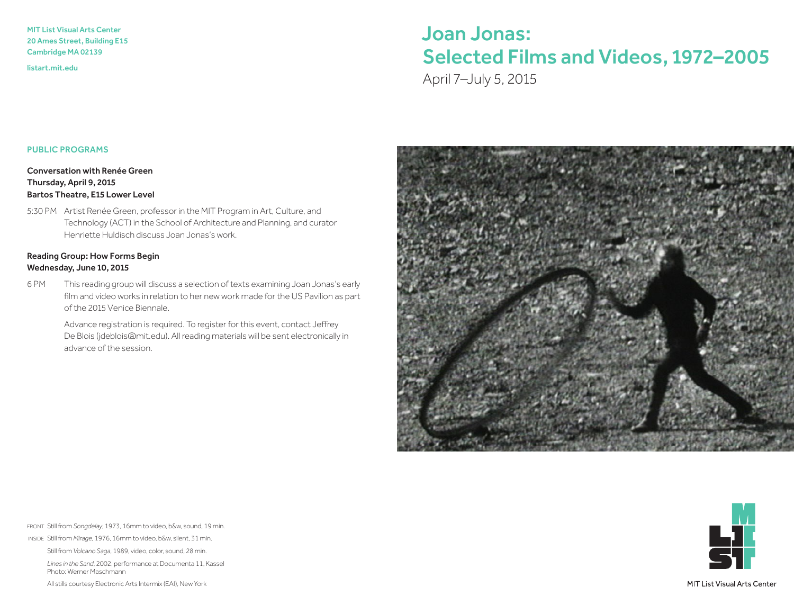MIT List Visual Arts Center 20 Ames Street, Building E15 Cambridge MA 02139

<listart.mit.edu>

# Joan Jonas: Selected Films and Videos, 1972–2005

April 7–July 5, 2015

#### PUBLIC PROGRAMS

Conversation with Renée Green Thursday, April 9, 2015 Bartos Theatre, E15 Lower Level

5:30 PM Artist Renée Green, professor in the MIT Program in Art, Culture, and Technology (ACT) in the School of Architecture and Planning, and curator Henriette Huldisch discuss Joan Jonas's work.

### Reading Group: How Forms Begin Wednesday, June 10, 2015

6 PM This reading group will discuss a selection of texts examining Joan Jonas's early film and video works in relation to her new work made for the US Pavilion as part of the 2015 Venice Biennale.

> Advance registration is required. To register for this event, contact Jeffrey De Blois [\(jdeblois@mit.edu\).](mailto:jdeblois@mit.edu) All reading materials will be sent electronically in advance of the session.





INSIDE Still from *Mirage*, 1976, 16mm to video, b&w, silent, 31 min.

Still from *Volcano Saga*, 1989, video, color, sound, 28 min.

 *Lines in the Sand*, 2002, performance at Documenta 11, Kassel Photo: Werner Maschmann

All stills courtesy Electronic Arts Intermix (EAI), New York